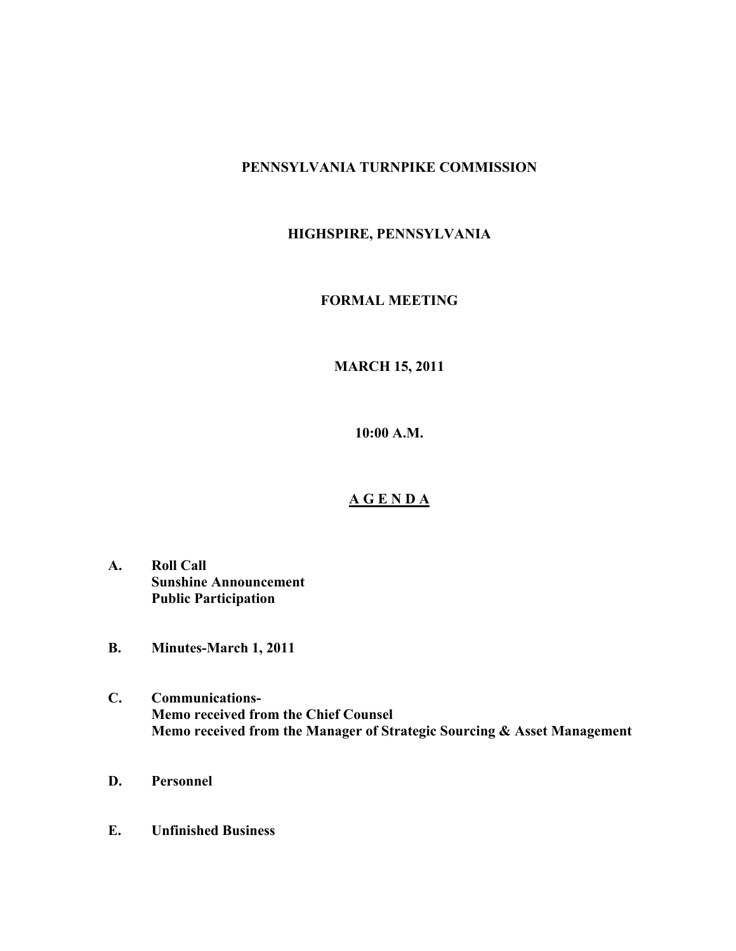## **PENNSYLVANIA TURNPIKE COMMISSION**

# **HIGHSPIRE, PENNSYLVANIA**

## **FORMAL MEETING**

# **MARCH 15, 2011**

**10:00 A.M.**

### **A G E N D A**

- **A. Roll Call Sunshine Announcement Public Participation**
- **B. Minutes-March 1, 2011**
- **C. Communications-Memo received from the Chief Counsel Memo received from the Manager of Strategic Sourcing & Asset Management**
- **D. Personnel**
- **E. Unfinished Business**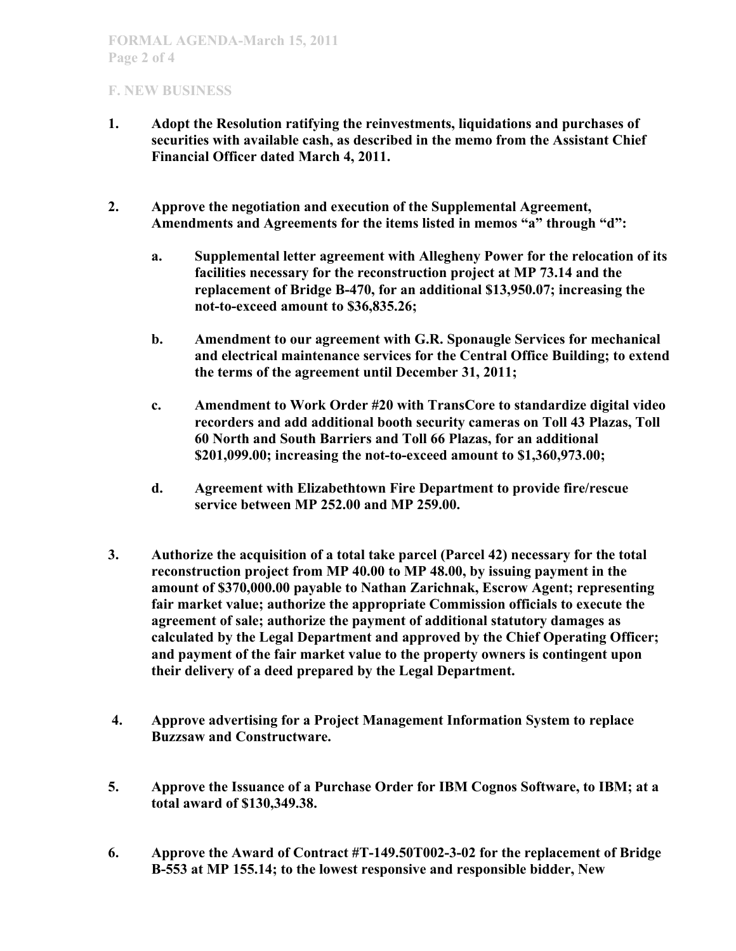## **F. NEW BUSINESS**

- **1. Adopt the Resolution ratifying the reinvestments, liquidations and purchases of securities with available cash, as described in the memo from the Assistant Chief Financial Officer dated March 4, 2011.**
- **2. Approve the negotiation and execution of the Supplemental Agreement, Amendments and Agreements for the items listed in memos "a" through "d":**
	- **a. Supplemental letter agreement with Allegheny Power for the relocation of its facilities necessary for the reconstruction project at MP 73.14 and the replacement of Bridge B-470, for an additional \$13,950.07; increasing the not-to-exceed amount to \$36,835.26;**
	- **b. Amendment to our agreement with G.R. Sponaugle Services for mechanical and electrical maintenance services for the Central Office Building; to extend the terms of the agreement until December 31, 2011;**
	- **c. Amendment to Work Order #20 with TransCore to standardize digital video recorders and add additional booth security cameras on Toll 43 Plazas, Toll 60 North and South Barriers and Toll 66 Plazas, for an additional \$201,099.00; increasing the not-to-exceed amount to \$1,360,973.00;**
	- **d. Agreement with Elizabethtown Fire Department to provide fire/rescue service between MP 252.00 and MP 259.00.**
- **3. Authorize the acquisition of a total take parcel (Parcel 42) necessary for the total reconstruction project from MP 40.00 to MP 48.00, by issuing payment in the amount of \$370,000.00 payable to Nathan Zarichnak, Escrow Agent; representing fair market value; authorize the appropriate Commission officials to execute the agreement of sale; authorize the payment of additional statutory damages as calculated by the Legal Department and approved by the Chief Operating Officer; and payment of the fair market value to the property owners is contingent upon their delivery of a deed prepared by the Legal Department.**
- **4. Approve advertising for a Project Management Information System to replace Buzzsaw and Constructware.**
- **5. Approve the Issuance of a Purchase Order for IBM Cognos Software, to IBM; at a total award of \$130,349.38.**
- **6. Approve the Award of Contract #T-149.50T002-3-02 for the replacement of Bridge B-553 at MP 155.14; to the lowest responsive and responsible bidder, New**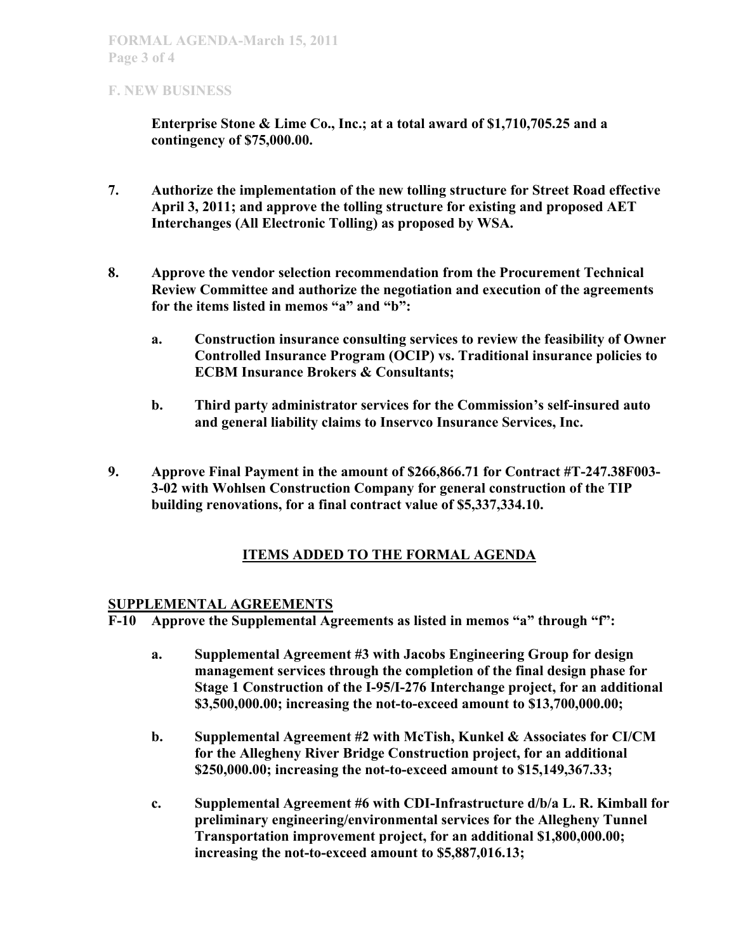### **F. NEW BUSINESS**

**Enterprise Stone & Lime Co., Inc.; at a total award of \$1,710,705.25 and a contingency of \$75,000.00.**

- **7. Authorize the implementation of the new tolling structure for Street Road effective April 3, 2011; and approve the tolling structure for existing and proposed AET Interchanges (All Electronic Tolling) as proposed by WSA.**
- **8. Approve the vendor selection recommendation from the Procurement Technical Review Committee and authorize the negotiation and execution of the agreements for the items listed in memos "a" and "b":**
	- **a. Construction insurance consulting services to review the feasibility of Owner Controlled Insurance Program (OCIP) vs. Traditional insurance policies to ECBM Insurance Brokers & Consultants;**
	- **b. Third party administrator services for the Commission's self-insured auto and general liability claims to Inservco Insurance Services, Inc.**
- **9. Approve Final Payment in the amount of \$266,866.71 for Contract #T-247.38F003- 3-02 with Wohlsen Construction Company for general construction of the TIP building renovations, for a final contract value of \$5,337,334.10.**

# **ITEMS ADDED TO THE FORMAL AGENDA**

## **SUPPLEMENTAL AGREEMENTS**

**F-10 Approve the Supplemental Agreements as listed in memos "a" through "f":**

- **a. Supplemental Agreement #3 with Jacobs Engineering Group for design management services through the completion of the final design phase for Stage 1 Construction of the I-95/I-276 Interchange project, for an additional \$3,500,000.00; increasing the not-to-exceed amount to \$13,700,000.00;**
- **b. Supplemental Agreement #2 with McTish, Kunkel & Associates for CI/CM for the Allegheny River Bridge Construction project, for an additional \$250,000.00; increasing the not-to-exceed amount to \$15,149,367.33;**
- **c. Supplemental Agreement #6 with CDI-Infrastructure d/b/a L. R. Kimball for preliminary engineering/environmental services for the Allegheny Tunnel Transportation improvement project, for an additional \$1,800,000.00; increasing the not-to-exceed amount to \$5,887,016.13;**